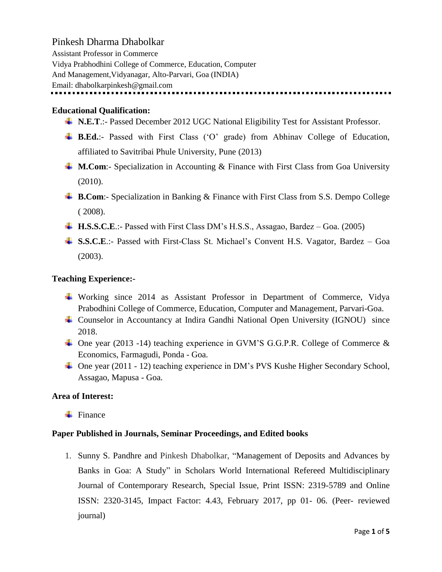# Pinkesh Dharma Dhabolkar

Assistant Professor in Commerce Vidya Prabhodhini College of Commerce, Education, Computer And Management,Vidyanagar, Alto-Parvari, Goa (INDIA) Email: dhabolkarpinkesh@gmail.com 

## **Educational Qualification:**

- **N.E.T.:-** Passed December 2012 UGC National Eligibility Test for Assistant Professor.
- **B.Ed.:** Passed with First Class ('O' grade) from Abhinav College of Education, affiliated to Savitribai Phule University, Pune (2013)
- **M.Com:** Specialization in Accounting & Finance with First Class from Goa University (2010).
- **B.Com:** Specialization in Banking & Finance with First Class from S.S. Dempo College ( 2008).
- **H.S.S.C.E**.:- Passed with First Class DM's H.S.S., Assagao, Bardez Goa. (2005)
- **S.S.C.E.:-** Passed with First-Class St. Michael's Convent H.S. Vagator, Bardez Goa (2003).

### **Teaching Experience:-**

- Working since 2014 as Assistant Professor in Department of Commerce, Vidya Prabodhini College of Commerce, Education, Computer and Management, Parvari-Goa.
- Counselor in Accountancy at Indira Gandhi National Open University (IGNOU) since 2018.
- One year (2013 -14) teaching experience in GVM'S G.G.P.R. College of Commerce & Economics, Farmagudi, Ponda - Goa.
- One year (2011 12) teaching experience in DM's PVS Kushe Higher Secondary School, Assagao, Mapusa - Goa.

## **Area of Interest:**

 $\blacksquare$  Finance

#### **Paper Published in Journals, Seminar Proceedings, and Edited books**

1. Sunny S. Pandhre and Pinkesh Dhabolkar, "Management of Deposits and Advances by Banks in Goa: A Study" in Scholars World International Refereed Multidisciplinary Journal of Contemporary Research, Special Issue, Print ISSN: 2319-5789 and Online ISSN: 2320-3145, Impact Factor: 4.43, February 2017, pp 01- 06. (Peer- reviewed journal)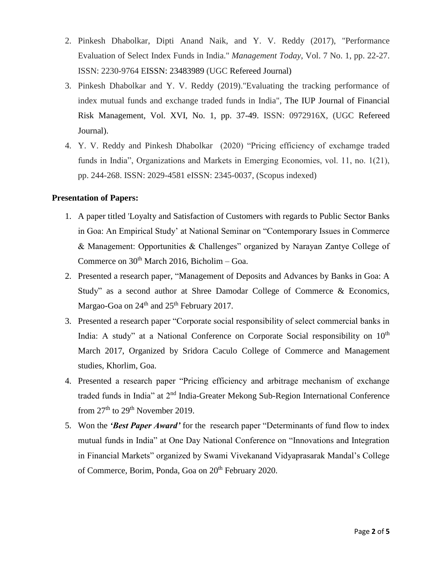- 2. Pinkesh Dhabolkar, Dipti Anand Naik, and Y. V. Reddy (2017), "Performance Evaluation of Select Index Funds in India." *Management Today*, Vol. 7 No. 1, pp. 22-27. ISSN: 2230-9764 EISSN: 23483989 (UGC Refereed Journal)
- 3. Pinkesh Dhabolkar and Y. V. Reddy (2019)."Evaluating the tracking performance of index mutual funds and exchange traded funds in India", The IUP Journal of Financial Risk Management, Vol. XVI, No. 1, pp. 37-49. ISSN: 0972916X, (UGC Refereed Journal).
- 4. Y. V. Reddy and Pinkesh Dhabolkar (2020) "Pricing efficiency of exchamge traded funds in India", Organizations and Markets in Emerging Economies, vol. 11, no. 1(21), pp. 244-268. ISSN: 2029-4581 eISSN: 2345-0037, (Scopus indexed)

## **Presentation of Papers:**

- 1. A paper titled 'Loyalty and Satisfaction of Customers with regards to Public Sector Banks in Goa: An Empirical Study' at National Seminar on "Contemporary Issues in Commerce & Management: Opportunities & Challenges" organized by Narayan Zantye College of Commerce on  $30<sup>th</sup>$  March 2016, Bicholim – Goa.
- 2. Presented a research paper, "Management of Deposits and Advances by Banks in Goa: A Study" as a second author at Shree Damodar College of Commerce & Economics, Margao-Goa on  $24<sup>th</sup>$  and  $25<sup>th</sup>$  February 2017.
- 3. Presented a research paper "Corporate social responsibility of select commercial banks in India: A study" at a National Conference on Corporate Social responsibility on  $10<sup>th</sup>$ March 2017, Organized by Sridora Caculo College of Commerce and Management studies, Khorlim, Goa.
- 4. Presented a research paper "Pricing efficiency and arbitrage mechanism of exchange traded funds in India" at 2<sup>nd</sup> India-Greater Mekong Sub-Region International Conference from  $27<sup>th</sup>$  to  $29<sup>th</sup>$  November 2019.
- 5. Won the *'Best Paper Award'* for the research paper "Determinants of fund flow to index mutual funds in India" at One Day National Conference on "Innovations and Integration in Financial Markets" organized by Swami Vivekanand Vidyaprasarak Mandal's College of Commerce, Borim, Ponda, Goa on 20<sup>th</sup> February 2020.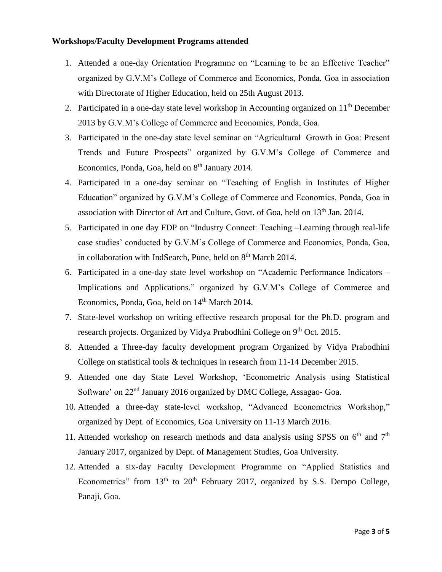#### **Workshops/Faculty Development Programs attended**

- 1. Attended a one-day Orientation Programme on "Learning to be an Effective Teacher" organized by G.V.M's College of Commerce and Economics, Ponda, Goa in association with Directorate of Higher Education, held on 25th August 2013.
- 2. Participated in a one-day state level workshop in Accounting organized on  $11<sup>th</sup>$  December 2013 by G.V.M's College of Commerce and Economics, Ponda, Goa.
- 3. Participated in the one-day state level seminar on "Agricultural Growth in Goa: Present Trends and Future Prospects" organized by G.V.M's College of Commerce and Economics, Ponda, Goa, held on 8<sup>th</sup> January 2014.
- 4. Participated in a one-day seminar on "Teaching of English in Institutes of Higher Education" organized by G.V.M's College of Commerce and Economics, Ponda, Goa in association with Director of Art and Culture, Govt. of Goa, held on 13<sup>th</sup> Jan. 2014.
- 5. Participated in one day FDP on "Industry Connect: Teaching –Learning through real-life case studies' conducted by G.V.M's College of Commerce and Economics, Ponda, Goa, in collaboration with IndSearch, Pune, held on  $8<sup>th</sup>$  March 2014.
- 6. Participated in a one-day state level workshop on "Academic Performance Indicators Implications and Applications." organized by G.V.M's College of Commerce and Economics, Ponda, Goa, held on  $14<sup>th</sup>$  March 2014.
- 7. State-level workshop on writing effective research proposal for the Ph.D. program and research projects. Organized by Vidya Prabodhini College on 9<sup>th</sup> Oct. 2015.
- 8. Attended a Three-day faculty development program Organized by Vidya Prabodhini College on statistical tools & techniques in research from 11-14 December 2015.
- 9. Attended one day State Level Workshop, 'Econometric Analysis using Statistical Software' on 22nd January 2016 organized by DMC College, Assagao- Goa.
- 10. Attended a three-day state-level workshop, "Advanced Econometrics Workshop," organized by Dept. of Economics, Goa University on 11-13 March 2016.
- 11. Attended workshop on research methods and data analysis using SPSS on  $6<sup>th</sup>$  and  $7<sup>th</sup>$ January 2017, organized by Dept. of Management Studies, Goa University.
- 12. Attended a six-day Faculty Development Programme on "Applied Statistics and Econometrics" from  $13<sup>th</sup>$  to  $20<sup>th</sup>$  February 2017, organized by S.S. Dempo College, Panaji, Goa.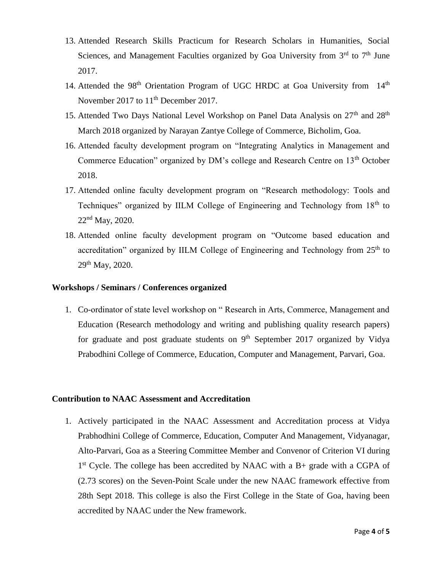- 13. Attended Research Skills Practicum for Research Scholars in Humanities, Social Sciences, and Management Faculties organized by Goa University from  $3<sup>rd</sup>$  to  $7<sup>th</sup>$  June 2017.
- 14. Attended the 98<sup>th</sup> Orientation Program of UGC HRDC at Goa University from 14<sup>th</sup> November 2017 to 11<sup>th</sup> December 2017.
- 15. Attended Two Days National Level Workshop on Panel Data Analysis on 27<sup>th</sup> and 28<sup>th</sup> March 2018 organized by Narayan Zantye College of Commerce, Bicholim, Goa.
- 16. Attended faculty development program on "Integrating Analytics in Management and Commerce Education" organized by DM's college and Research Centre on 13<sup>th</sup> October 2018.
- 17. Attended online faculty development program on "Research methodology: Tools and Techniques" organized by IILM College of Engineering and Technology from 18<sup>th</sup> to 22nd May, 2020.
- 18. Attended online faculty development program on "Outcome based education and accreditation" organized by IILM College of Engineering and Technology from  $25<sup>th</sup>$  to  $29^{th}$  May, 2020.

### **Workshops / Seminars / Conferences organized**

1. Co-ordinator of state level workshop on " Research in Arts, Commerce, Management and Education (Research methodology and writing and publishing quality research papers) for graduate and post graduate students on  $9<sup>th</sup>$  September 2017 organized by Vidya Prabodhini College of Commerce, Education, Computer and Management, Parvari, Goa.

#### **Contribution to NAAC Assessment and Accreditation**

1. Actively participated in the NAAC Assessment and Accreditation process at Vidya Prabhodhini College of Commerce, Education, Computer And Management, Vidyanagar, Alto-Parvari, Goa as a Steering Committee Member and Convenor of Criterion VI during 1<sup>st</sup> Cycle. The college has been accredited by NAAC with a B+ grade with a CGPA of (2.73 scores) on the Seven-Point Scale under the new NAAC framework effective from 28th Sept 2018. This college is also the First College in the State of Goa, having been accredited by NAAC under the New framework.